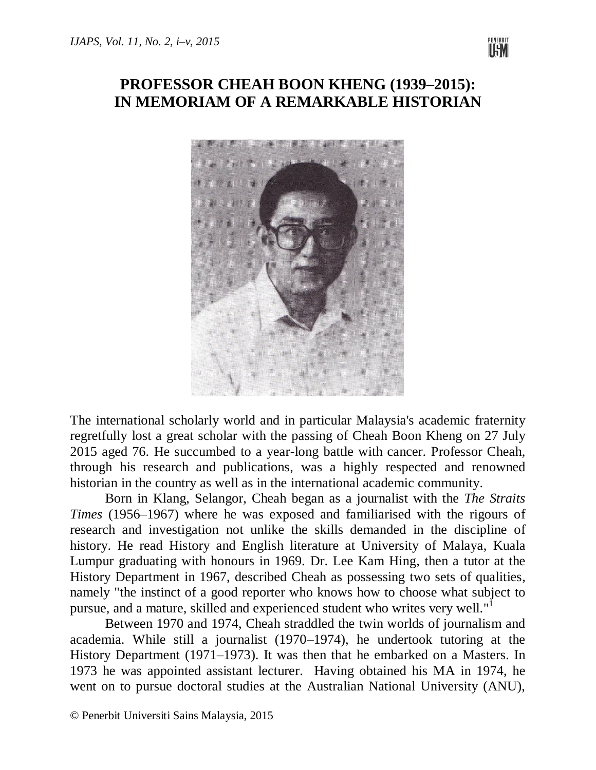

## **PROFESSOR CHEAH BOON KHENG (1939–2015): IN MEMORIAM OF A REMARKABLE HISTORIAN**



The international scholarly world and in particular Malaysia's academic fraternity regretfully lost a great scholar with the passing of Cheah Boon Kheng on 27 July 2015 aged 76. He succumbed to a year-long battle with cancer. Professor Cheah, through his research and publications, was a highly respected and renowned historian in the country as well as in the international academic community.

Born in Klang, Selangor, Cheah began as a journalist with the *The Straits Times* (1956–1967) where he was exposed and familiarised with the rigours of research and investigation not unlike the skills demanded in the discipline of history. He read History and English literature at University of Malaya, Kuala Lumpur graduating with honours in 1969. Dr. Lee Kam Hing, then a tutor at the History Department in 1967, described Cheah as possessing two sets of qualities, namely "the instinct of a good reporter who knows how to choose what subject to pursue, and a mature, skilled and experienced student who writes very well."<sup>I</sup>

Between 1970 and 1974, Cheah straddled the twin worlds of journalism and academia. While still a journalist (1970–1974), he undertook tutoring at the History Department (1971–1973). It was then that he embarked on a Masters. In 1973 he was appointed assistant lecturer. Having obtained his MA in 1974, he went on to pursue doctoral studies at the Australian National University (ANU),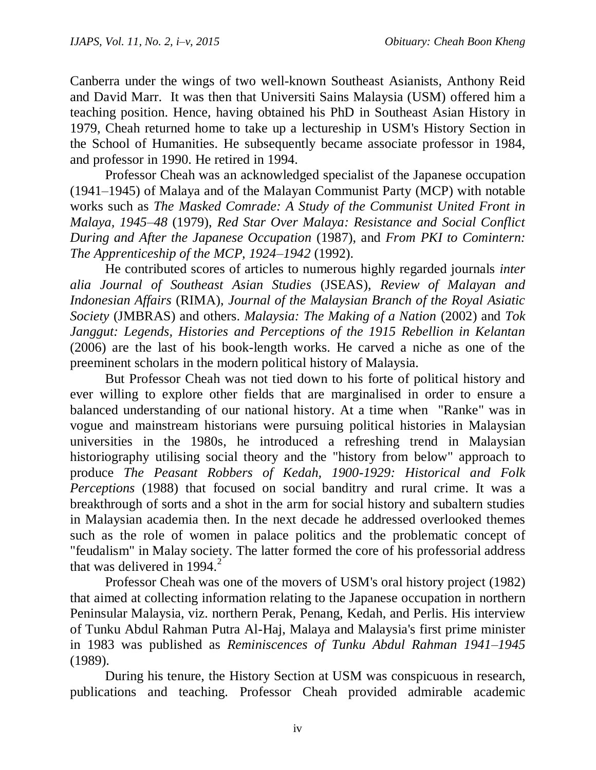Canberra under the wings of two well-known Southeast Asianists, Anthony Reid and David Marr. It was then that Universiti Sains Malaysia (USM) offered him a teaching position. Hence, having obtained his PhD in Southeast Asian History in 1979, Cheah returned home to take up a lectureship in USM's History Section in the School of Humanities. He subsequently became associate professor in 1984, and professor in 1990. He retired in 1994.

Professor Cheah was an acknowledged specialist of the Japanese occupation (1941–1945) of Malaya and of the Malayan Communist Party (MCP) with notable works such as *The Masked Comrade: A Study of the Communist United Front in Malaya, 1945–48* (1979), *Red Star Over Malaya: Resistance and Social Conflict During and After the Japanese Occupation* (1987), and *From PKI to Comintern: The Apprenticeship of the MCP, 1924–1942* (1992).

He contributed scores of articles to numerous highly regarded journals *inter alia Journal of Southeast Asian Studies* (JSEAS), *Review of Malayan and Indonesian Affairs* (RIMA), *Journal of the Malaysian Branch of the Royal Asiatic Society* (JMBRAS) and others. *Malaysia: The Making of a Nation* (2002) and *Tok Janggut: Legends, Histories and Perceptions of the 1915 Rebellion in Kelantan* (2006) are the last of his book-length works. He carved a niche as one of the preeminent scholars in the modern political history of Malaysia.

But Professor Cheah was not tied down to his forte of political history and ever willing to explore other fields that are marginalised in order to ensure a balanced understanding of our national history. At a time when "Ranke" was in vogue and mainstream historians were pursuing political histories in Malaysian universities in the 1980s, he introduced a refreshing trend in Malaysian historiography utilising social theory and the "history from below" approach to produce *The Peasant Robbers of Kedah, 1900-1929: Historical and Folk Perceptions* (1988) that focused on social banditry and rural crime. It was a breakthrough of sorts and a shot in the arm for social history and subaltern studies in Malaysian academia then. In the next decade he addressed overlooked themes such as the role of women in palace politics and the problematic concept of "feudalism" in Malay society. The latter formed the core of his professorial address that was delivered in  $1994.<sup>2</sup>$ 

Professor Cheah was one of the movers of USM's oral history project (1982) that aimed at collecting information relating to the Japanese occupation in northern Peninsular Malaysia, viz. northern Perak, Penang, Kedah, and Perlis. His interview of Tunku Abdul Rahman Putra Al-Haj, Malaya and Malaysia's first prime minister in 1983 was published as *Reminiscences of Tunku Abdul Rahman 1941–1945* (1989).

During his tenure, the History Section at USM was conspicuous in research, publications and teaching. Professor Cheah provided admirable academic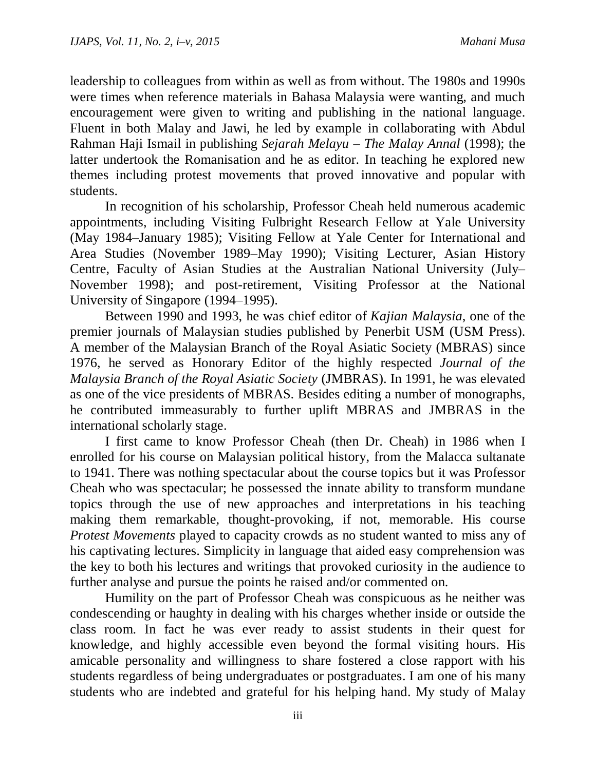leadership to colleagues from within as well as from without. The 1980s and 1990s were times when reference materials in Bahasa Malaysia were wanting, and much encouragement were given to writing and publishing in the national language. Fluent in both Malay and Jawi, he led by example in collaborating with Abdul Rahman Haji Ismail in publishing *Sejarah Melayu – The Malay Annal* (1998); the latter undertook the Romanisation and he as editor. In teaching he explored new themes including protest movements that proved innovative and popular with students.

In recognition of his scholarship, Professor Cheah held numerous academic appointments, including Visiting Fulbright Research Fellow at Yale University (May 1984–January 1985); Visiting Fellow at Yale Center for International and Area Studies (November 1989–May 1990); Visiting Lecturer, Asian History Centre, Faculty of Asian Studies at the Australian National University (July– November 1998); and post-retirement, Visiting Professor at the National University of Singapore (1994–1995).

Between 1990 and 1993, he was chief editor of *Kajian Malaysia*, one of the premier journals of Malaysian studies published by Penerbit USM (USM Press). A member of the Malaysian Branch of the Royal Asiatic Society (MBRAS) since 1976, he served as Honorary Editor of the highly respected *Journal of the Malaysia Branch of the Royal Asiatic Society* (JMBRAS). In 1991, he was elevated as one of the vice presidents of MBRAS. Besides editing a number of monographs, he contributed immeasurably to further uplift MBRAS and JMBRAS in the international scholarly stage.

I first came to know Professor Cheah (then Dr. Cheah) in 1986 when I enrolled for his course on Malaysian political history, from the Malacca sultanate to 1941. There was nothing spectacular about the course topics but it was Professor Cheah who was spectacular; he possessed the innate ability to transform mundane topics through the use of new approaches and interpretations in his teaching making them remarkable, thought-provoking, if not, memorable. His course *Protest Movements* played to capacity crowds as no student wanted to miss any of his captivating lectures. Simplicity in language that aided easy comprehension was the key to both his lectures and writings that provoked curiosity in the audience to further analyse and pursue the points he raised and/or commented on.

Humility on the part of Professor Cheah was conspicuous as he neither was condescending or haughty in dealing with his charges whether inside or outside the class room. In fact he was ever ready to assist students in their quest for knowledge, and highly accessible even beyond the formal visiting hours. His amicable personality and willingness to share fostered a close rapport with his students regardless of being undergraduates or postgraduates. I am one of his many students who are indebted and grateful for his helping hand. My study of Malay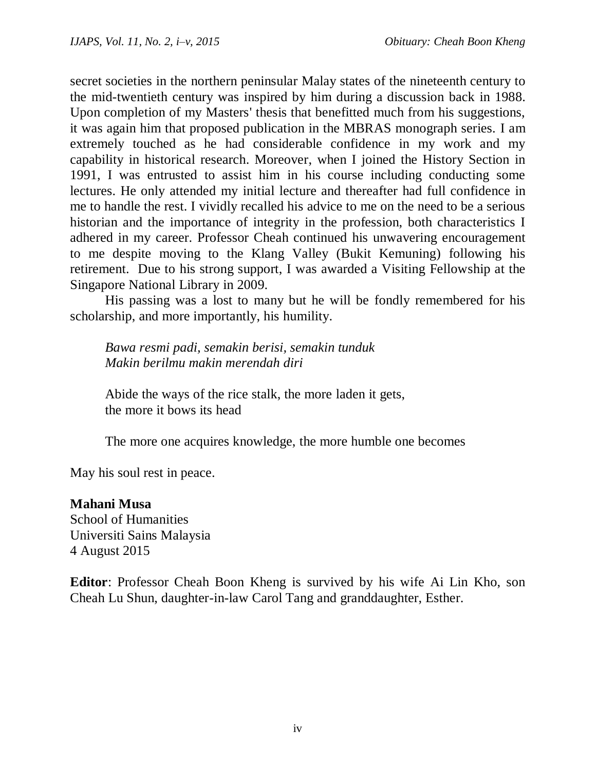secret societies in the northern peninsular Malay states of the nineteenth century to the mid-twentieth century was inspired by him during a discussion back in 1988. Upon completion of my Masters' thesis that benefitted much from his suggestions, it was again him that proposed publication in the MBRAS monograph series. I am extremely touched as he had considerable confidence in my work and my capability in historical research. Moreover, when I joined the History Section in 1991, I was entrusted to assist him in his course including conducting some lectures. He only attended my initial lecture and thereafter had full confidence in me to handle the rest. I vividly recalled his advice to me on the need to be a serious historian and the importance of integrity in the profession, both characteristics I adhered in my career. Professor Cheah continued his unwavering encouragement to me despite moving to the Klang Valley (Bukit Kemuning) following his retirement. Due to his strong support, I was awarded a Visiting Fellowship at the Singapore National Library in 2009.

His passing was a lost to many but he will be fondly remembered for his scholarship, and more importantly, his humility.

*Bawa resmi padi, semakin berisi, semakin tunduk Makin berilmu makin merendah diri*

Abide the ways of the rice stalk, the more laden it gets, the more it bows its head

The more one acquires knowledge, the more humble one becomes

May his soul rest in peace.

## **Mahani Musa**

School of Humanities Universiti Sains Malaysia 4 August 2015

**Editor**: Professor Cheah Boon Kheng is survived by his wife Ai Lin Kho, son Cheah Lu Shun, daughter-in-law Carol Tang and granddaughter, Esther.